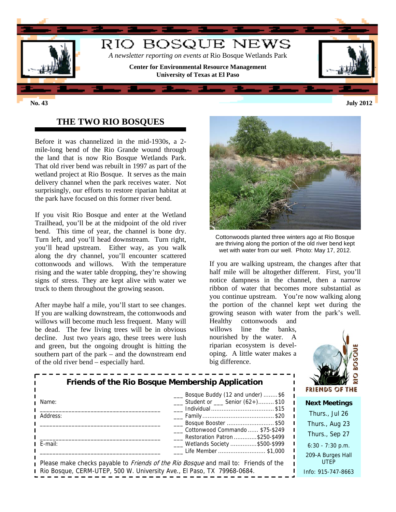

### **THE TWO RIO BOSQUES**

Before it was channelized in the mid-1930s, a 2 mile-long bend of the Rio Grande wound through the land that is now Rio Bosque Wetlands Park. That old river bend was rebuilt in 1997 as part of the wetland project at Rio Bosque. It serves as the main delivery channel when the park receives water. Not surprisingly, our efforts to restore riparian habitat at the park have focused on this former river bend.

If you visit Rio Bosque and enter at the Wetland Trailhead, you'll be at the midpoint of the old river bend. This time of year, the channel is bone dry. Turn left, and you'll head downstream. Turn right, you'll head upstream. Either way, as you walk along the dry channel, you'll encounter scattered cottonwoods and willows. With the temperature rising and the water table dropping, they're showing signs of stress. They are kept alive with water we truck to them throughout the growing season.

After maybe half a mile, you'll start to see changes. If you are walking downstream, the cottonwoods and willows will become much less frequent. Many will be dead. The few living trees will be in obvious decline. Just two years ago, these trees were lush and green, but the ongoing drought is hitting the southern part of the park – and the downstream end of the old river bend – especially hard.



Cottonwoods planted three winters ago at Rio Bosque are thriving along the portion of the old river bend kept wet with water from our well. Photo: May 17, 2012.

If you are walking upstream, the changes after that half mile will be altogether different. First, you'll notice dampness in the channel, then a narrow ribbon of water that becomes more substantial as you continue upstream. You're now walking along the portion of the channel kept wet during the growing season with water from the park's well.

Healthy cottonwoods and willows line the banks, nourished by the water. A riparian ecosystem is developing. A little water makes a big difference.



| Friends of the Rio Bosque Membership Application<br>___ Bosque Buddy (12 and under) \$6 |                                                                                                                   | <b>FRIENDS OF THE</b>            |
|-----------------------------------------------------------------------------------------|-------------------------------------------------------------------------------------------------------------------|----------------------------------|
| Name:                                                                                   | Student or Senior (62+)\$10                                                                                       | <b>Next Meetings</b>             |
| Address:                                                                                | ___ Individual \$15                                                                                               | Thurs., Jul 26                   |
|                                                                                         | ___ Bosque Booster \$50                                                                                           | Thurs., Aug 23                   |
|                                                                                         | Cottonwood Commando  \$75-\$249<br>Restoration Patron \$250-\$499                                                 | Thurs., Sep 27                   |
| E-mail:                                                                                 | ___ Wetlands Society \$500-\$999                                                                                  | $6:30 - 7:30$ p.m.               |
|                                                                                         | Life Member \$1,000<br>Please make checks payable to <i>Friends of the Rio Bosque</i> and mail to: Friends of the | 209-A Burges Hall<br><b>UTEP</b> |
| Rio Bosque, CERM-UTEP, 500 W. University Ave., El Paso, TX 79968-0684.                  |                                                                                                                   | Info: 915-747-8663               |